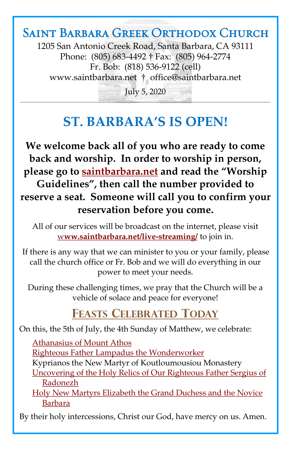## Saint Barbara Greek Orthodox Church

1205 San Antonio Creek Road, Santa Barbara, CA 93111 Phone: (805) 683-4492 † Fax: (805) 964-2774 Fr. Bob: (818) 536-9122 (cell) [www.saintbarbara.net](http://www.saintbarbara.net) † [office@saintbarbara.net](mailto:office@saintbarbara.net)

July 5, 2020  $\frac{1}{2}$  and  $\frac{1}{2}$  and  $\frac{1}{2}$  and  $\frac{1}{2}$  and  $\frac{1}{2}$  and  $\frac{1}{2}$  and  $\frac{1}{2}$  and  $\frac{1}{2}$  and  $\frac{1}{2}$  and  $\frac{1}{2}$  and  $\frac{1}{2}$  and  $\frac{1}{2}$ 

# **ST. BARBARA'S IS OPEN!**

**We welcome back all of you who are ready to come back and worship. In order to worship in person, please go to [saintbarbara.net](http://www.saintbarbara.net) and read the "Worship Guidelines", then call the number provided to reserve a seat. Someone will call you to confirm your reservation before you come.**

All of our services will be broadcast on the internet, please visit w**[ww.saintbarbara.net/live-streaming/](http://www.saintbarbara.net/live-streaming/)** to join in.

If there is any way that we can minister to you or your family, please call the church office or Fr. Bob and we will do everything in our power to meet your needs.

During these challenging times, we pray that the Church will be a vehicle of solace and peace for everyone!

## **FEASTS CELEBRATED TODAY**

On this, the 5th of July, the 4th Sunday of Matthew, we celebrate:

[Athanasius of Mount Athos](http://www.goarch.org/chapel/saints?contentid=110) [Righteous Father Lampadus the Wonderworker](http://www.goarch.org/chapel/saints?contentid=493) Kyprianos the New Martyr of Koutloumousiou Monastery [Uncovering of the Holy Relics of Our Righteous Father Sergius of](Uncovering%20of%20the%20Holy%20Relics%20of%20Our%20Righteous%20Father%20Sergius%20of%20Radonezh)  [Radonezh](Uncovering%20of%20the%20Holy%20Relics%20of%20Our%20Righteous%20Father%20Sergius%20of%20Radonezh)

[Holy New Martyrs Elizabeth the Grand Duchess and the Novice](http://www.goarch.org/chapel/saints?contentid=2343)  [Barbara](http://www.goarch.org/chapel/saints?contentid=2343)

By their holy intercessions, Christ our God, have mercy on us. Amen.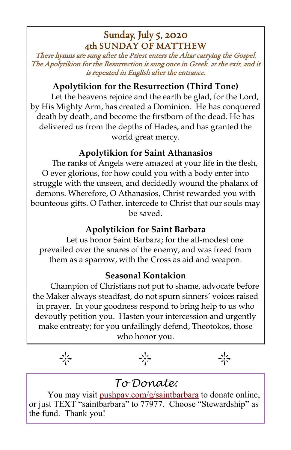### Sunday, July 5, 2020 4th SUNDAY OF MATTHEW

These hymns are sung after the Priest enters the Altar carrying the Gospel. The Apolytikion for the Resurrection is sung once in Greek at the exit, and it is repeated in English after the entrance.

#### **Apolytikion for the Resurrection (Third Tone)**

Let the heavens rejoice and the earth be glad, for the Lord, by His Mighty Arm, has created a Dominion. He has conquered death by death, and become the firstborn of the dead. He has delivered us from the depths of Hades, and has granted the world great mercy.

#### **Apolytikion for Saint Athanasios**

The ranks of Angels were amazed at your life in the flesh, O ever glorious, for how could you with a body enter into struggle with the unseen, and decidedly wound the phalanx of demons. Wherefore, O Athanasios, Christ rewarded you with bounteous gifts. O Father, intercede to Christ that our souls may be saved.

#### **Apolytikion for Saint Barbara**

Let us honor Saint Barbara; for the all-modest one prevailed over the snares of the enemy, and was freed from them as a sparrow, with the Cross as aid and weapon.

#### **Seasonal Kontakion**

Champion of Christians not put to shame, advocate before the Maker always steadfast, do not spurn sinners' voices raised in prayer. In your goodness respond to bring help to us who devoutly petition you. Hasten your intercession and urgently make entreaty; for you unfailingly defend, Theotokos, those who honor you.

#### $\frac{1}{2}$  $\frac{1}{2}$

### *To Donate:*

You may visit <pushpay.com/g/saintbarbara> to donate online, or just TEXT "saintbarbara" to 77977. Choose "Stewardship" as the fund. Thank you!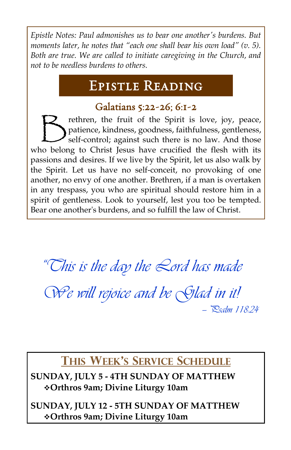*Epistle Notes: Paul admonishes us to bear one another's burdens. But moments later, he notes that "each one shall bear his own load" (v. 5). Both are true. We are called to initiate caregiving in the Church, and not to be needless burdens to others.*

## Epistle Reading

### Galatians 5:22-26; 6:1-2

 $\bigtriangledown$ rethren, the fruit of the Spirit is love, joy, peace, patience, kindness, goodness, faithfulness, gentleness, self-control; against such there is no law. And those who belong to Christ Jesus have crucified the flesh with its passions and desires. If we live by the Spirit, let us also walk by the Spirit. Let us have no self-conceit, no provoking of one another, no envy of one another. Brethren, if a man is overtaken in any trespass, you who are spiritual should restore him in a spirit of gentleness. Look to yourself, lest you too be tempted. Bear one another's burdens, and so fulfill the law of Christ.

*"This is the day the Lord has made*

*We will rejoice and be Glad in it! — Psalm 118:24*

## **THIS WEEK'S SERVICE SCHEDULE**

**SUNDAY, JULY 5 - 4TH SUNDAY OF MATTHEW** ❖**Orthros 9am; Divine Liturgy 10am**

**SUNDAY, JULY 12 - 5TH SUNDAY OF MATTHEW** ❖**Orthros 9am; Divine Liturgy 10am**